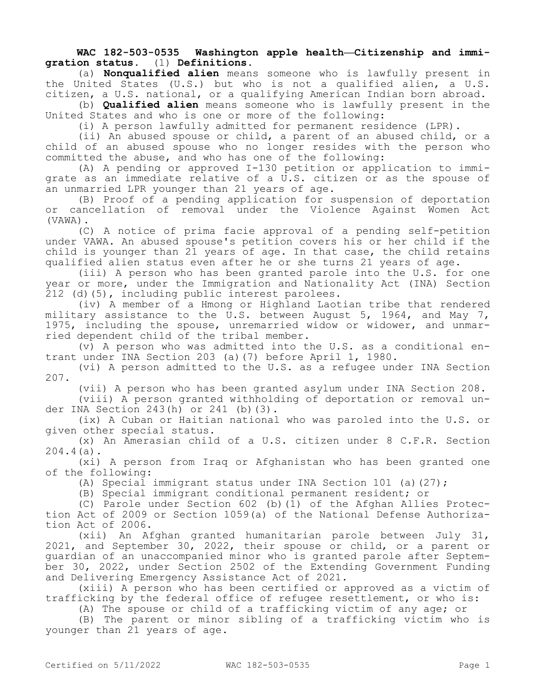## **WAC 182-503-0535 Washington apple health—Citizenship and immigration status.** (1) **Definitions.**

(a) **Nonqualified alien** means someone who is lawfully present in the United States (U.S.) but who is not a qualified alien, a U.S. citizen, a U.S. national, or a qualifying American Indian born abroad.

(b) **Qualified alien** means someone who is lawfully present in the United States and who is one or more of the following:

(i) A person lawfully admitted for permanent residence (LPR).

(ii) An abused spouse or child, a parent of an abused child, or a child of an abused spouse who no longer resides with the person who committed the abuse, and who has one of the following:

(A) A pending or approved I-130 petition or application to immigrate as an immediate relative of a U.S. citizen or as the spouse of an unmarried LPR younger than 21 years of age.

(B) Proof of a pending application for suspension of deportation or cancellation of removal under the Violence Against Women Act (VAWA).

(C) A notice of prima facie approval of a pending self-petition under VAWA. An abused spouse's petition covers his or her child if the child is younger than 21 years of age. In that case, the child retains qualified alien status even after he or she turns 21 years of age.

(iii) A person who has been granted parole into the U.S. for one year or more, under the Immigration and Nationality Act (INA) Section 212 (d)(5), including public interest parolees.

(iv) A member of a Hmong or Highland Laotian tribe that rendered military assistance to the U.S. between August 5, 1964, and May 7, 1975, including the spouse, unremarried widow or widower, and unmarried dependent child of the tribal member.

(v) A person who was admitted into the U.S. as a conditional entrant under INA Section 203 (a)(7) before April 1, 1980.

(vi) A person admitted to the U.S. as a refugee under INA Section 207.

(vii) A person who has been granted asylum under INA Section 208.

(viii) A person granted withholding of deportation or removal under INA Section 243(h) or 241 (b)(3).

(ix) A Cuban or Haitian national who was paroled into the U.S. or given other special status.

(x) An Amerasian child of a U.S. citizen under 8 C.F.R. Section 204.4(a).

(xi) A person from Iraq or Afghanistan who has been granted one of the following:

(A) Special immigrant status under INA Section 101 (a)(27);

(B) Special immigrant conditional permanent resident; or

(C) Parole under Section 602 (b)(1) of the Afghan Allies Protection Act of 2009 or Section 1059(a) of the National Defense Authorization Act of 2006.

(xii) An Afghan granted humanitarian parole between July 31, 2021, and September 30, 2022, their spouse or child, or a parent or guardian of an unaccompanied minor who is granted parole after September 30, 2022, under Section 2502 of the Extending Government Funding and Delivering Emergency Assistance Act of 2021.

(xiii) A person who has been certified or approved as a victim of trafficking by the federal office of refugee resettlement, or who is:

(A) The spouse or child of a trafficking victim of any age; or

(B) The parent or minor sibling of a trafficking victim who is younger than 21 years of age.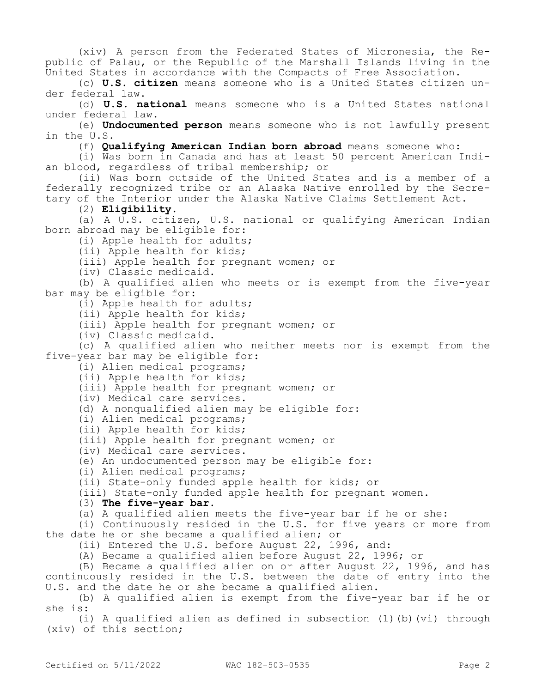(xiv) A person from the Federated States of Micronesia, the Republic of Palau, or the Republic of the Marshall Islands living in the United States in accordance with the Compacts of Free Association.

(c) **U.S. citizen** means someone who is a United States citizen under federal law.

(d) **U.S. national** means someone who is a United States national under federal law.

(e) **Undocumented person** means someone who is not lawfully present in the U.S.

(f) **Qualifying American Indian born abroad** means someone who:

(i) Was born in Canada and has at least 50 percent American Indian blood, regardless of tribal membership; or

(ii) Was born outside of the United States and is a member of a federally recognized tribe or an Alaska Native enrolled by the Secretary of the Interior under the Alaska Native Claims Settlement Act.

(2) **Eligibility**.

(a) A U.S. citizen, U.S. national or qualifying American Indian born abroad may be eligible for:

(i) Apple health for adults;

(ii) Apple health for kids;

(iii) Apple health for pregnant women; or

(iv) Classic medicaid.

(b) A qualified alien who meets or is exempt from the five-year bar may be eligible for:

(i) Apple health for adults;

(ii) Apple health for kids;

(iii) Apple health for pregnant women; or

(iv) Classic medicaid.

(c) A qualified alien who neither meets nor is exempt from the five-year bar may be eligible for:

(i) Alien medical programs;

(ii) Apple health for kids;

(iii) Apple health for pregnant women; or

(iv) Medical care services.

(d) A nonqualified alien may be eligible for:

(i) Alien medical programs;

(ii) Apple health for kids;

(iii) Apple health for pregnant women; or

(iv) Medical care services.

(e) An undocumented person may be eligible for:

(i) Alien medical programs;

(ii) State-only funded apple health for kids; or

(iii) State-only funded apple health for pregnant women.

(3) **The five-year bar.**

(a) A qualified alien meets the five-year bar if he or she:

(i) Continuously resided in the U.S. for five years or more from the date he or she became a qualified alien; or

(ii) Entered the U.S. before August 22, 1996, and:

(A) Became a qualified alien before August 22, 1996; or

(B) Became a qualified alien on or after August 22, 1996, and has continuously resided in the U.S. between the date of entry into the U.S. and the date he or she became a qualified alien.

(b) A qualified alien is exempt from the five-year bar if he or she is:

(i) A qualified alien as defined in subsection (1)(b)(vi) through (xiv) of this section;